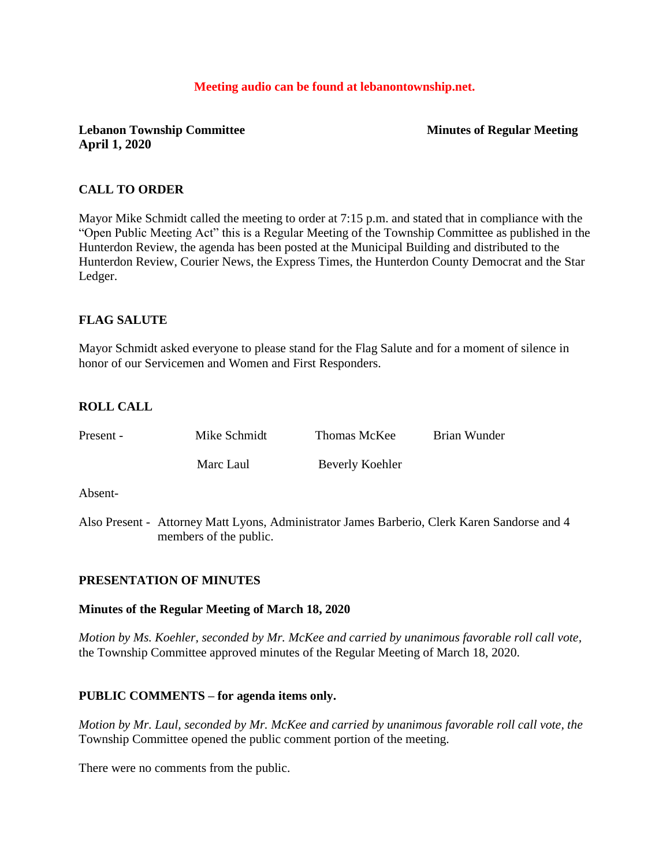## **Meeting audio can be found at lebanontownship.net.**

**Lebanon Township Committee Minutes of Regular Meeting April 1, 2020**

### **CALL TO ORDER**

Mayor Mike Schmidt called the meeting to order at 7:15 p.m. and stated that in compliance with the "Open Public Meeting Act" this is a Regular Meeting of the Township Committee as published in the Hunterdon Review, the agenda has been posted at the Municipal Building and distributed to the Hunterdon Review, Courier News, the Express Times, the Hunterdon County Democrat and the Star Ledger.

## **FLAG SALUTE**

Mayor Schmidt asked everyone to please stand for the Flag Salute and for a moment of silence in honor of our Servicemen and Women and First Responders.

## **ROLL CALL**

| Present - | Mike Schmidt | Thomas McKee    | Brian Wunder |
|-----------|--------------|-----------------|--------------|
|           | Marc Laul    | Beverly Koehler |              |
| Absent-   |              |                 |              |

Also Present - Attorney Matt Lyons, Administrator James Barberio, Clerk Karen Sandorse and 4 members of the public.

#### **PRESENTATION OF MINUTES**

#### **Minutes of the Regular Meeting of March 18, 2020**

*Motion by Ms. Koehler, seconded by Mr. McKee and carried by unanimous favorable roll call vote,* the Township Committee approved minutes of the Regular Meeting of March 18, 2020.

#### **PUBLIC COMMENTS – for agenda items only.**

*Motion by Mr. Laul, seconded by Mr. McKee and carried by unanimous favorable roll call vote, the* Township Committee opened the public comment portion of the meeting.

There were no comments from the public.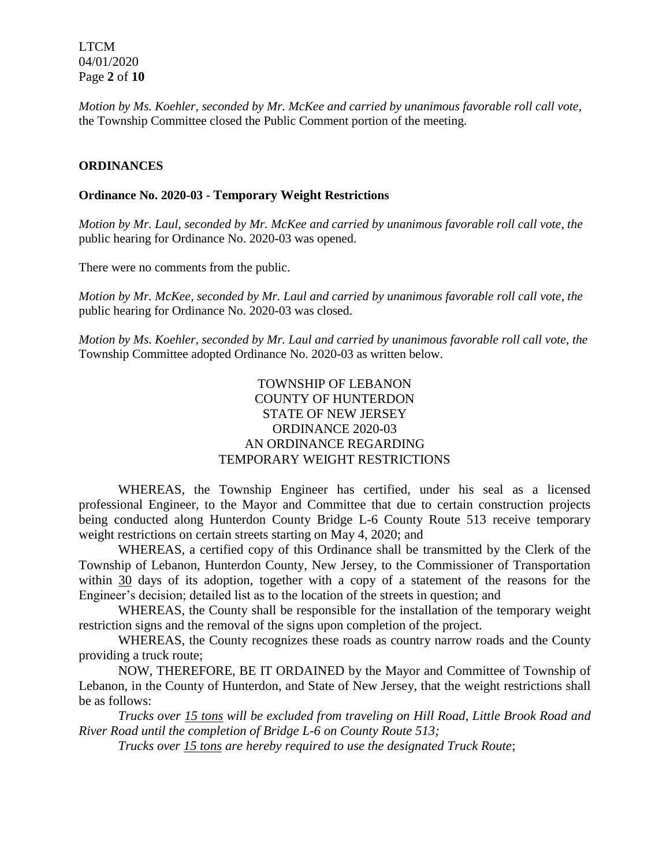LTCM 04/01/2020 Page **2** of **10**

*Motion by Ms. Koehler, seconded by Mr. McKee and carried by unanimous favorable roll call vote,* the Township Committee closed the Public Comment portion of the meeting.

### **ORDINANCES**

#### **Ordinance No. 2020-03 - Temporary Weight Restrictions**

*Motion by Mr. Laul, seconded by Mr. McKee and carried by unanimous favorable roll call vote, the* public hearing for Ordinance No. 2020-03 was opened.

There were no comments from the public.

*Motion by Mr. McKee, seconded by Mr. Laul and carried by unanimous favorable roll call vote, the* public hearing for Ordinance No. 2020-03 was closed.

*Motion by Ms. Koehler, seconded by Mr. Laul and carried by unanimous favorable roll call vote, the* Township Committee adopted Ordinance No. 2020-03 as written below.

# TOWNSHIP OF LEBANON COUNTY OF HUNTERDON STATE OF NEW JERSEY ORDINANCE 2020-03 AN ORDINANCE REGARDING TEMPORARY WEIGHT RESTRICTIONS

WHEREAS, the Township Engineer has certified, under his seal as a licensed professional Engineer, to the Mayor and Committee that due to certain construction projects being conducted along Hunterdon County Bridge L-6 County Route 513 receive temporary weight restrictions on certain streets starting on May 4, 2020; and

WHEREAS, a certified copy of this Ordinance shall be transmitted by the Clerk of the Township of Lebanon, Hunterdon County, New Jersey, to the Commissioner of Transportation within 30 days of its adoption, together with a copy of a statement of the reasons for the Engineer's decision; detailed list as to the location of the streets in question; and

WHEREAS, the County shall be responsible for the installation of the temporary weight restriction signs and the removal of the signs upon completion of the project.

WHEREAS, the County recognizes these roads as country narrow roads and the County providing a truck route;

NOW, THEREFORE, BE IT ORDAINED by the Mayor and Committee of Township of Lebanon, in the County of Hunterdon, and State of New Jersey, that the weight restrictions shall be as follows:

*Trucks over 15 tons will be excluded from traveling on Hill Road, Little Brook Road and River Road until the completion of Bridge L-6 on County Route 513;*

*Trucks over 15 tons are hereby required to use the designated Truck Route*;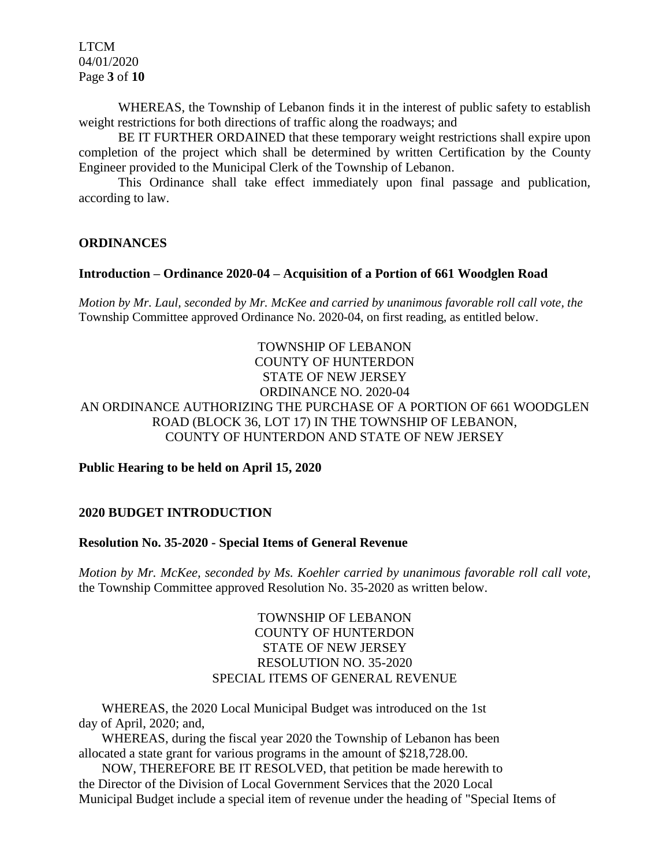LTCM 04/01/2020 Page **3** of **10**

WHEREAS, the Township of Lebanon finds it in the interest of public safety to establish weight restrictions for both directions of traffic along the roadways; and

BE IT FURTHER ORDAINED that these temporary weight restrictions shall expire upon completion of the project which shall be determined by written Certification by the County Engineer provided to the Municipal Clerk of the Township of Lebanon.

This Ordinance shall take effect immediately upon final passage and publication, according to law.

# **ORDINANCES**

## **Introduction – Ordinance 2020-04 – Acquisition of a Portion of 661 Woodglen Road**

*Motion by Mr. Laul, seconded by Mr. McKee and carried by unanimous favorable roll call vote, the*  Township Committee approved Ordinance No. 2020-04, on first reading, as entitled below.

# TOWNSHIP OF LEBANON COUNTY OF HUNTERDON STATE OF NEW JERSEY ORDINANCE NO. 2020-04 AN ORDINANCE AUTHORIZING THE PURCHASE OF A PORTION OF 661 WOODGLEN ROAD (BLOCK 36, LOT 17) IN THE TOWNSHIP OF LEBANON, COUNTY OF HUNTERDON AND STATE OF NEW JERSEY

## **Public Hearing to be held on April 15, 2020**

### **2020 BUDGET INTRODUCTION**

#### **Resolution No. 35-2020 - Special Items of General Revenue**

*Motion by Mr. McKee, seconded by Ms. Koehler carried by unanimous favorable roll call vote,* the Township Committee approved Resolution No. 35-2020 as written below.

# TOWNSHIP OF LEBANON COUNTY OF HUNTERDON STATE OF NEW JERSEY RESOLUTION NO. 35-2020 SPECIAL ITEMS OF GENERAL REVENUE

 WHEREAS, the 2020 Local Municipal Budget was introduced on the 1st day of April, 2020; and,

 WHEREAS, during the fiscal year 2020 the Township of Lebanon has been allocated a state grant for various programs in the amount of \$218,728.00.

 NOW, THEREFORE BE IT RESOLVED, that petition be made herewith to the Director of the Division of Local Government Services that the 2020 Local Municipal Budget include a special item of revenue under the heading of "Special Items of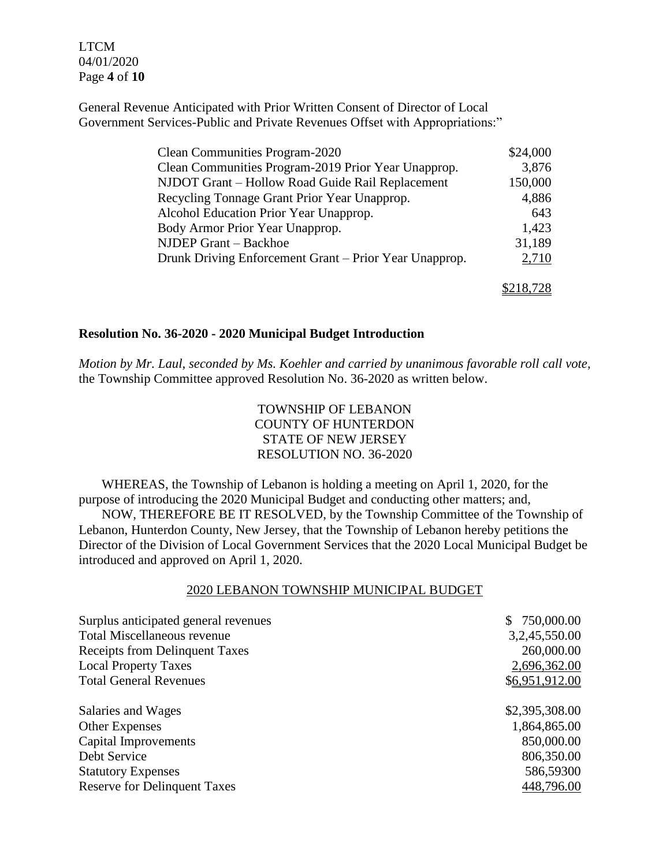LTCM 04/01/2020 Page **4** of **10**

General Revenue Anticipated with Prior Written Consent of Director of Local Government Services-Public and Private Revenues Offset with Appropriations:"

| Clean Communities Program-2020                         | \$24,000  |
|--------------------------------------------------------|-----------|
| Clean Communities Program-2019 Prior Year Unapprop.    | 3,876     |
| NJDOT Grant - Hollow Road Guide Rail Replacement       | 150,000   |
| Recycling Tonnage Grant Prior Year Unapprop.           | 4,886     |
| Alcohol Education Prior Year Unapprop.                 | 643       |
| Body Armor Prior Year Unapprop.                        | 1,423     |
| NJDEP Grant - Backhoe                                  | 31,189    |
| Drunk Driving Enforcement Grant – Prior Year Unapprop. | 2,710     |
|                                                        | \$218,728 |

#### **Resolution No. 36-2020 - 2020 Municipal Budget Introduction**

*Motion by Mr. Laul, seconded by Ms. Koehler and carried by unanimous favorable roll call vote,* the Township Committee approved Resolution No. 36-2020 as written below.

# TOWNSHIP OF LEBANON COUNTY OF HUNTERDON STATE OF NEW JERSEY RESOLUTION NO. 36-2020

 WHEREAS, the Township of Lebanon is holding a meeting on April 1, 2020, for the purpose of introducing the 2020 Municipal Budget and conducting other matters; and,

 NOW, THEREFORE BE IT RESOLVED, by the Township Committee of the Township of Lebanon, Hunterdon County, New Jersey, that the Township of Lebanon hereby petitions the Director of the Division of Local Government Services that the 2020 Local Municipal Budget be introduced and approved on April 1, 2020.

# 2020 LEBANON TOWNSHIP MUNICIPAL BUDGET

| Surplus anticipated general revenues  | \$750,000.00   |
|---------------------------------------|----------------|
| <b>Total Miscellaneous revenue</b>    | 3,2,45,550.00  |
| <b>Receipts from Delinquent Taxes</b> | 260,000.00     |
| <b>Local Property Taxes</b>           | 2,696,362.00   |
| <b>Total General Revenues</b>         | \$6,951,912.00 |
| Salaries and Wages                    | \$2,395,308.00 |
| <b>Other Expenses</b>                 | 1,864,865.00   |
| Capital Improvements                  | 850,000.00     |
| Debt Service                          | 806,350.00     |
| <b>Statutory Expenses</b>             | 586,59300      |
| <b>Reserve for Delinquent Taxes</b>   | 448,796.00     |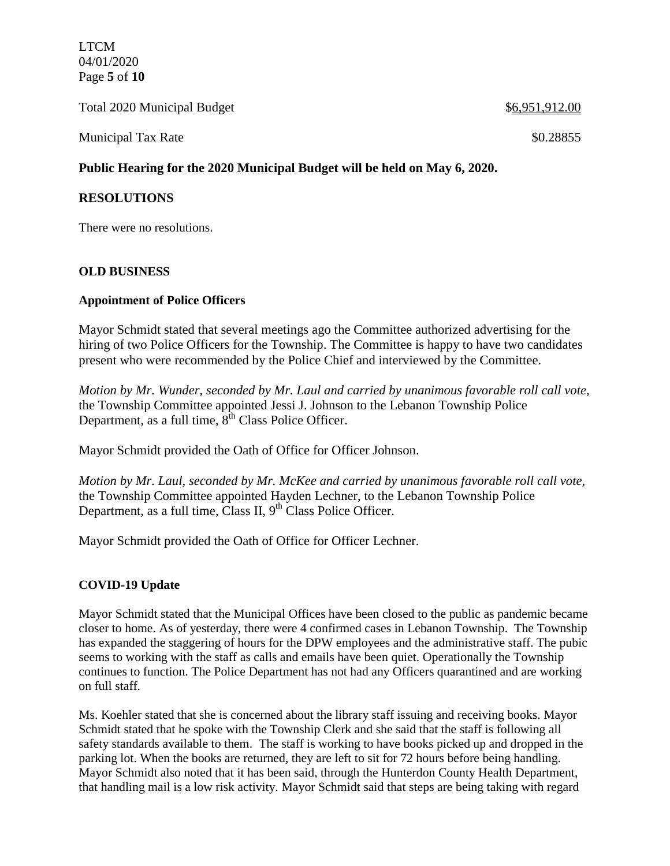LTCM 04/01/2020 Page **5** of **10**

Total 2020 Municipal Budget \$6,951,912.00 Municipal Tax Rate  $\$0.28855$ 

# **Public Hearing for the 2020 Municipal Budget will be held on May 6, 2020.**

# **RESOLUTIONS**

There were no resolutions.

## **OLD BUSINESS**

## **Appointment of Police Officers**

Mayor Schmidt stated that several meetings ago the Committee authorized advertising for the hiring of two Police Officers for the Township. The Committee is happy to have two candidates present who were recommended by the Police Chief and interviewed by the Committee.

*Motion by Mr. Wunder, seconded by Mr. Laul and carried by unanimous favorable roll call vote,* the Township Committee appointed Jessi J. Johnson to the Lebanon Township Police Department, as a full time,  $8^{\text{th}}$  Class Police Officer.

Mayor Schmidt provided the Oath of Office for Officer Johnson.

*Motion by Mr. Laul, seconded by Mr. McKee and carried by unanimous favorable roll call vote,* the Township Committee appointed Hayden Lechner, to the Lebanon Township Police Department, as a full time, Class II,  $9<sup>th</sup>$  Class Police Officer.

Mayor Schmidt provided the Oath of Office for Officer Lechner.

#### **COVID-19 Update**

Mayor Schmidt stated that the Municipal Offices have been closed to the public as pandemic became closer to home. As of yesterday, there were 4 confirmed cases in Lebanon Township. The Township has expanded the staggering of hours for the DPW employees and the administrative staff. The pubic seems to working with the staff as calls and emails have been quiet. Operationally the Township continues to function. The Police Department has not had any Officers quarantined and are working on full staff.

Ms. Koehler stated that she is concerned about the library staff issuing and receiving books. Mayor Schmidt stated that he spoke with the Township Clerk and she said that the staff is following all safety standards available to them. The staff is working to have books picked up and dropped in the parking lot. When the books are returned, they are left to sit for 72 hours before being handling. Mayor Schmidt also noted that it has been said, through the Hunterdon County Health Department, that handling mail is a low risk activity. Mayor Schmidt said that steps are being taking with regard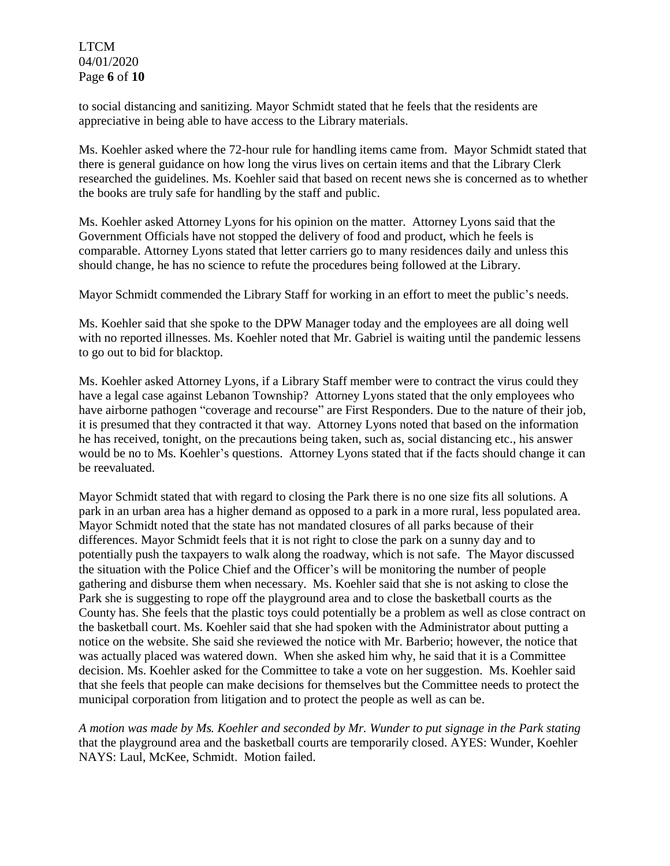LTCM 04/01/2020 Page **6** of **10**

to social distancing and sanitizing. Mayor Schmidt stated that he feels that the residents are appreciative in being able to have access to the Library materials.

Ms. Koehler asked where the 72-hour rule for handling items came from. Mayor Schmidt stated that there is general guidance on how long the virus lives on certain items and that the Library Clerk researched the guidelines. Ms. Koehler said that based on recent news she is concerned as to whether the books are truly safe for handling by the staff and public.

Ms. Koehler asked Attorney Lyons for his opinion on the matter. Attorney Lyons said that the Government Officials have not stopped the delivery of food and product, which he feels is comparable. Attorney Lyons stated that letter carriers go to many residences daily and unless this should change, he has no science to refute the procedures being followed at the Library.

Mayor Schmidt commended the Library Staff for working in an effort to meet the public's needs.

Ms. Koehler said that she spoke to the DPW Manager today and the employees are all doing well with no reported illnesses. Ms. Koehler noted that Mr. Gabriel is waiting until the pandemic lessens to go out to bid for blacktop.

Ms. Koehler asked Attorney Lyons, if a Library Staff member were to contract the virus could they have a legal case against Lebanon Township? Attorney Lyons stated that the only employees who have airborne pathogen "coverage and recourse" are First Responders. Due to the nature of their job, it is presumed that they contracted it that way. Attorney Lyons noted that based on the information he has received, tonight, on the precautions being taken, such as, social distancing etc., his answer would be no to Ms. Koehler's questions. Attorney Lyons stated that if the facts should change it can be reevaluated.

Mayor Schmidt stated that with regard to closing the Park there is no one size fits all solutions. A park in an urban area has a higher demand as opposed to a park in a more rural, less populated area. Mayor Schmidt noted that the state has not mandated closures of all parks because of their differences. Mayor Schmidt feels that it is not right to close the park on a sunny day and to potentially push the taxpayers to walk along the roadway, which is not safe. The Mayor discussed the situation with the Police Chief and the Officer's will be monitoring the number of people gathering and disburse them when necessary. Ms. Koehler said that she is not asking to close the Park she is suggesting to rope off the playground area and to close the basketball courts as the County has. She feels that the plastic toys could potentially be a problem as well as close contract on the basketball court. Ms. Koehler said that she had spoken with the Administrator about putting a notice on the website. She said she reviewed the notice with Mr. Barberio; however, the notice that was actually placed was watered down. When she asked him why, he said that it is a Committee decision. Ms. Koehler asked for the Committee to take a vote on her suggestion. Ms. Koehler said that she feels that people can make decisions for themselves but the Committee needs to protect the municipal corporation from litigation and to protect the people as well as can be.

*A motion was made by Ms. Koehler and seconded by Mr. Wunder to put signage in the Park stating*  that the playground area and the basketball courts are temporarily closed. AYES: Wunder, Koehler NAYS: Laul, McKee, Schmidt. Motion failed.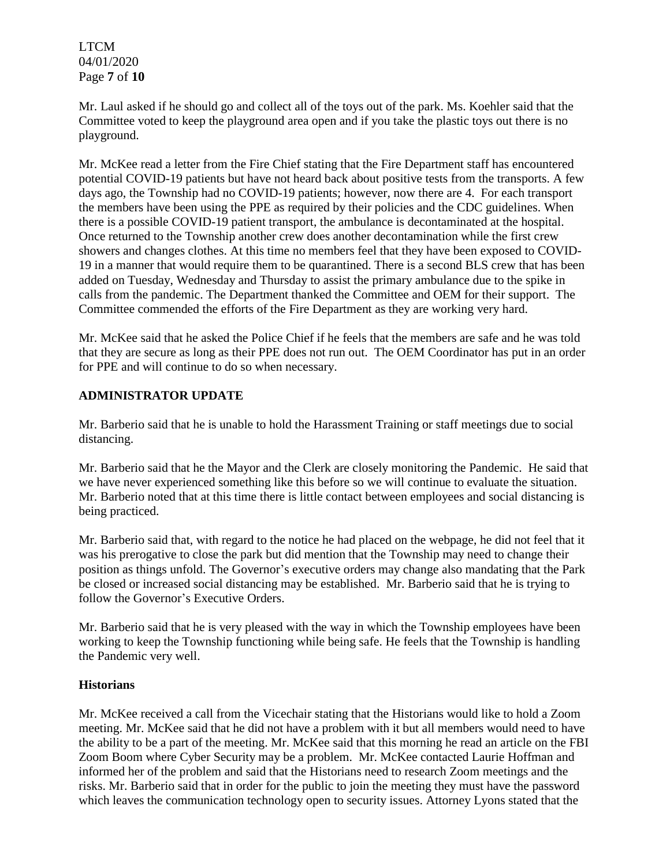LTCM 04/01/2020 Page **7** of **10**

Mr. Laul asked if he should go and collect all of the toys out of the park. Ms. Koehler said that the Committee voted to keep the playground area open and if you take the plastic toys out there is no playground.

Mr. McKee read a letter from the Fire Chief stating that the Fire Department staff has encountered potential COVID-19 patients but have not heard back about positive tests from the transports. A few days ago, the Township had no COVID-19 patients; however, now there are 4. For each transport the members have been using the PPE as required by their policies and the CDC guidelines. When there is a possible COVID-19 patient transport, the ambulance is decontaminated at the hospital. Once returned to the Township another crew does another decontamination while the first crew showers and changes clothes. At this time no members feel that they have been exposed to COVID-19 in a manner that would require them to be quarantined. There is a second BLS crew that has been added on Tuesday, Wednesday and Thursday to assist the primary ambulance due to the spike in calls from the pandemic. The Department thanked the Committee and OEM for their support. The Committee commended the efforts of the Fire Department as they are working very hard.

Mr. McKee said that he asked the Police Chief if he feels that the members are safe and he was told that they are secure as long as their PPE does not run out. The OEM Coordinator has put in an order for PPE and will continue to do so when necessary.

# **ADMINISTRATOR UPDATE**

Mr. Barberio said that he is unable to hold the Harassment Training or staff meetings due to social distancing.

Mr. Barberio said that he the Mayor and the Clerk are closely monitoring the Pandemic. He said that we have never experienced something like this before so we will continue to evaluate the situation. Mr. Barberio noted that at this time there is little contact between employees and social distancing is being practiced.

Mr. Barberio said that, with regard to the notice he had placed on the webpage, he did not feel that it was his prerogative to close the park but did mention that the Township may need to change their position as things unfold. The Governor's executive orders may change also mandating that the Park be closed or increased social distancing may be established. Mr. Barberio said that he is trying to follow the Governor's Executive Orders.

Mr. Barberio said that he is very pleased with the way in which the Township employees have been working to keep the Township functioning while being safe. He feels that the Township is handling the Pandemic very well.

# **Historians**

Mr. McKee received a call from the Vicechair stating that the Historians would like to hold a Zoom meeting. Mr. McKee said that he did not have a problem with it but all members would need to have the ability to be a part of the meeting. Mr. McKee said that this morning he read an article on the FBI Zoom Boom where Cyber Security may be a problem. Mr. McKee contacted Laurie Hoffman and informed her of the problem and said that the Historians need to research Zoom meetings and the risks. Mr. Barberio said that in order for the public to join the meeting they must have the password which leaves the communication technology open to security issues. Attorney Lyons stated that the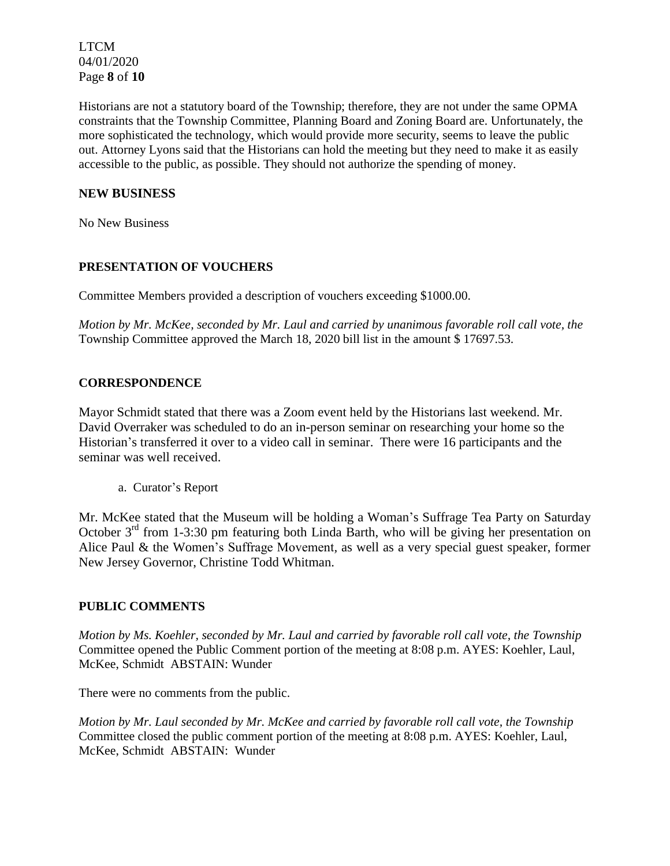LTCM 04/01/2020 Page **8** of **10**

Historians are not a statutory board of the Township; therefore, they are not under the same OPMA constraints that the Township Committee, Planning Board and Zoning Board are. Unfortunately, the more sophisticated the technology, which would provide more security, seems to leave the public out. Attorney Lyons said that the Historians can hold the meeting but they need to make it as easily accessible to the public, as possible. They should not authorize the spending of money.

# **NEW BUSINESS**

No New Business

# **PRESENTATION OF VOUCHERS**

Committee Members provided a description of vouchers exceeding \$1000.00.

*Motion by Mr. McKee, seconded by Mr. Laul and carried by unanimous favorable roll call vote, the* Township Committee approved the March 18, 2020 bill list in the amount \$ 17697.53.

## **CORRESPONDENCE**

Mayor Schmidt stated that there was a Zoom event held by the Historians last weekend. Mr. David Overraker was scheduled to do an in-person seminar on researching your home so the Historian's transferred it over to a video call in seminar. There were 16 participants and the seminar was well received.

a. Curator's Report

Mr. McKee stated that the Museum will be holding a Woman's Suffrage Tea Party on Saturday October  $3<sup>rd</sup>$  from 1-3:30 pm featuring both Linda Barth, who will be giving her presentation on Alice Paul & the Women's Suffrage Movement*,* as well as a very special guest speaker, former New Jersey Governor, Christine Todd Whitman.

# **PUBLIC COMMENTS**

*Motion by Ms. Koehler, seconded by Mr. Laul and carried by favorable roll call vote, the Township* Committee opened the Public Comment portion of the meeting at 8:08 p.m. AYES: Koehler, Laul, McKee, Schmidt ABSTAIN: Wunder

There were no comments from the public.

*Motion by Mr. Laul seconded by Mr. McKee and carried by favorable roll call vote, the Township* Committee closed the public comment portion of the meeting at 8:08 p.m. AYES: Koehler, Laul, McKee, Schmidt ABSTAIN: Wunder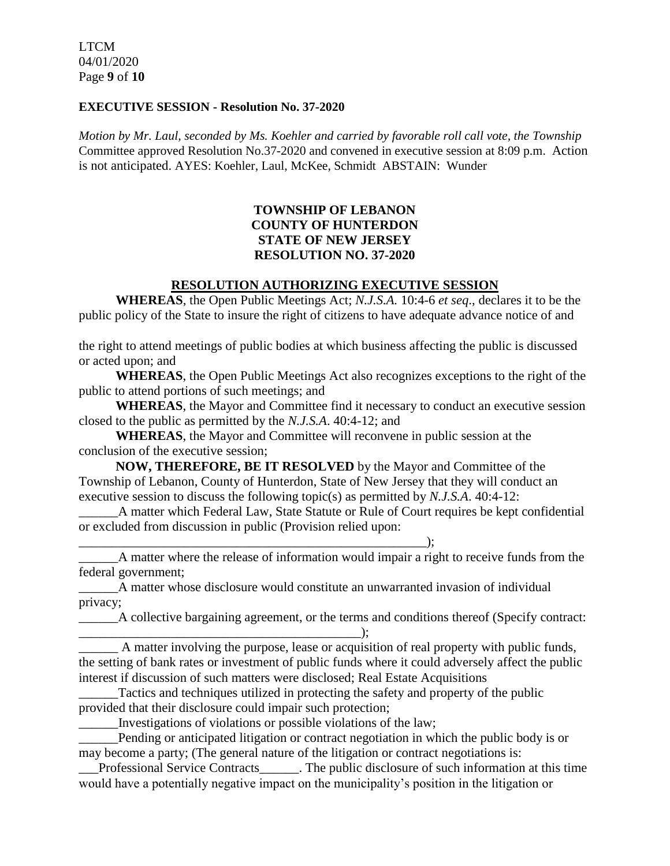## **EXECUTIVE SESSION - Resolution No. 37-2020**

*Motion by Mr. Laul, seconded by Ms. Koehler and carried by favorable roll call vote, the Township* Committee approved Resolution No.37-2020 and convened in executive session at 8:09 p.m. Action is not anticipated. AYES: Koehler, Laul, McKee, Schmidt ABSTAIN: Wunder

# **TOWNSHIP OF LEBANON COUNTY OF HUNTERDON STATE OF NEW JERSEY RESOLUTION NO. 37-2020**

# **RESOLUTION AUTHORIZING EXECUTIVE SESSION**

**WHEREAS**, the Open Public Meetings Act; *N.J.S.A.* 10:4-6 *et seq*., declares it to be the public policy of the State to insure the right of citizens to have adequate advance notice of and

the right to attend meetings of public bodies at which business affecting the public is discussed or acted upon; and

**WHEREAS**, the Open Public Meetings Act also recognizes exceptions to the right of the public to attend portions of such meetings; and

**WHEREAS**, the Mayor and Committee find it necessary to conduct an executive session closed to the public as permitted by the *N.J.S.A*. 40:4-12; and

**WHEREAS**, the Mayor and Committee will reconvene in public session at the conclusion of the executive session;

**NOW, THEREFORE, BE IT RESOLVED** by the Mayor and Committee of the Township of Lebanon, County of Hunterdon, State of New Jersey that they will conduct an executive session to discuss the following topic(s) as permitted by *N.J.S.A*. 40:4-12:

A matter which Federal Law, State Statute or Rule of Court requires be kept confidential or excluded from discussion in public (Provision relied upon:

 $\qquad \qquad ; \qquad$ A matter where the release of information would impair a right to receive funds from the federal government;

\_\_\_\_\_\_A matter whose disclosure would constitute an unwarranted invasion of individual privacy;

A collective bargaining agreement, or the terms and conditions thereof (Specify contract:

A matter involving the purpose, lease or acquisition of real property with public funds, the setting of bank rates or investment of public funds where it could adversely affect the public interest if discussion of such matters were disclosed; Real Estate Acquisitions

 $\qquad \qquad$  ):

Tactics and techniques utilized in protecting the safety and property of the public provided that their disclosure could impair such protection;

\_\_\_\_\_\_Investigations of violations or possible violations of the law;

\_\_\_\_\_\_Pending or anticipated litigation or contract negotiation in which the public body is or may become a party; (The general nature of the litigation or contract negotiations is:

\_\_\_Professional Service Contracts\_\_\_\_\_\_. The public disclosure of such information at this time would have a potentially negative impact on the municipality's position in the litigation or